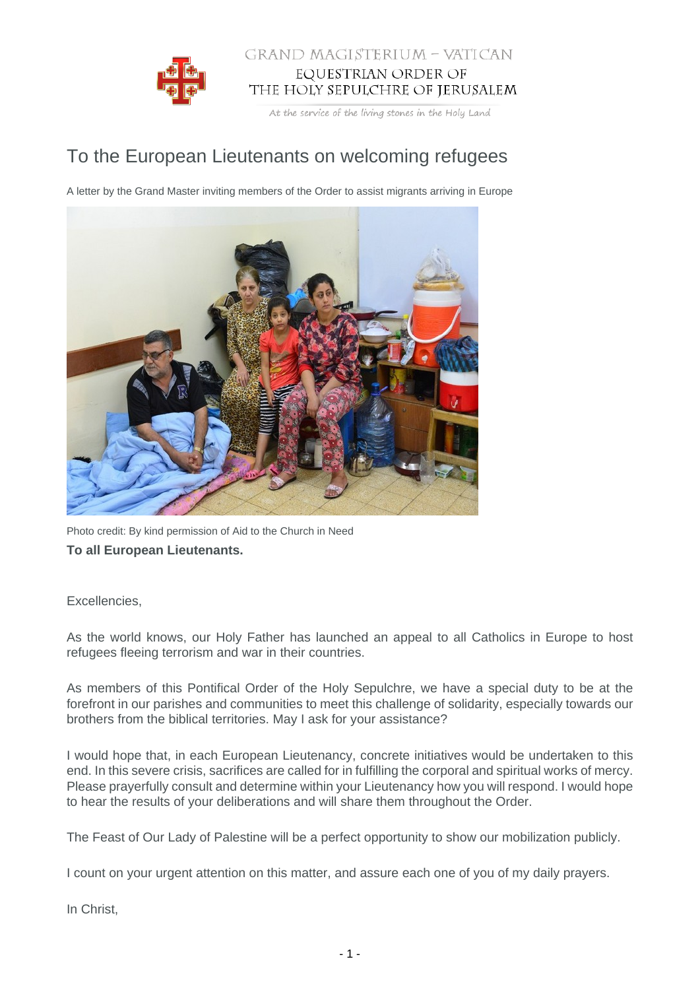

## GRAND MAGISTERIUM - VATICAN EQUESTRIAN ORDER OF THE HOLY SEPULCHRE OF JERUSALEM

At the service of the living stones in the Holy Land

## To the European Lieutenants on welcoming refugees

A letter by the Grand Master inviting members of the Order to assist migrants arriving in Europe



Photo credit: By kind permission of Aid to the Church in Need **To all European Lieutenants.**

## Excellencies,

As the world knows, our Holy Father has launched an appeal to all Catholics in Europe to host refugees fleeing terrorism and war in their countries.

As members of this Pontifical Order of the Holy Sepulchre, we have a special duty to be at the forefront in our parishes and communities to meet this challenge of solidarity, especially towards our brothers from the biblical territories. May I ask for your assistance?

I would hope that, in each European Lieutenancy, concrete initiatives would be undertaken to this end. In this severe crisis, sacrifices are called for in fulfilling the corporal and spiritual works of mercy. Please prayerfully consult and determine within your Lieutenancy how you will respond. I would hope to hear the results of your deliberations and will share them throughout the Order.

The Feast of Our Lady of Palestine will be a perfect opportunity to show our mobilization publicly.

I count on your urgent attention on this matter, and assure each one of you of my daily prayers.

In Christ,